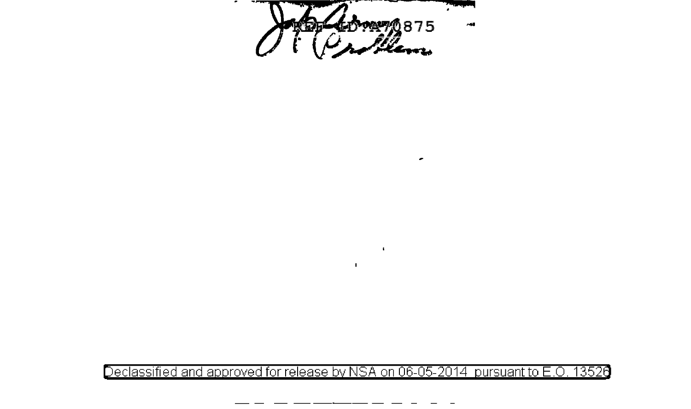Chatomy 875

٠

Declassified and approved for release by NSA on 06-05-2014 pursuant to E.O. 13526

 $\mathbf{r}$ 

 $\ddot{\phantom{a}}$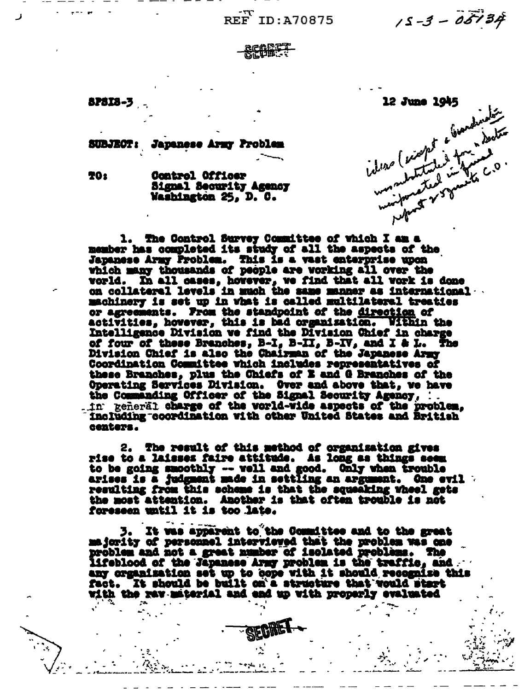REF ID: A70875

 $15 - 3 - 05134$ 

**APSIS-3** 

ideas (exapt a biomatination 12 June 1945

**SUBJECT:** Japanese Army Problem

**TO:** 

Control Officer Signal Security Agency Washington 25, D. C.

1. The Control Survey Committee of which I am a member has completed its study of all the aspects of the Japanese Army Problem. This is a vast enterprise upon which many thousands of people are vorking all over the vorld. In all cases, however, we find that all vork is done on collateral levels in much the same manner as international machinery is set up in what is called multilateral treaties or agreements. From the standpoint of the direction of activities, however, this is bad organization. Within the Intelligence Division we find the Division Chief in charge of four of these Branches, B-I, B-II, B-IV, and I & L. The Division Chief is also the Chairman of the Japanese Army Coordination Committee which includes representatives of these Branches, plus the Chiefs of E and G Branches of the Operating Services Division. Over and above that, we have<br>the Commanding Officer of the Signal Security Agency, :. . in peneral charge of the vorld-wide aspects of the problem. including coordination with other United States and British centers.

2. The result of this method of organisation gives<br>rise to a laisses faire attitude. As long as things seem to be going smoothly -- well and good. Only when trouble arises is a judgment made in settling an argument. One evil resulting from this scheme is that the squeaking wheel gets the most attention. Another is that often trouble is not foreseen until it is too late.

3. It was apparent to the Coundttee and to the great majority of personnel intervieved that the problem was one problem and not a great number of isolated problems. The lifeblood of the Japanese Army problem is the traffic, and any creanization set up to cope with it should recognize this fact. It should be built on'a structure that would start with the rav-miterial and end up with properly evaluated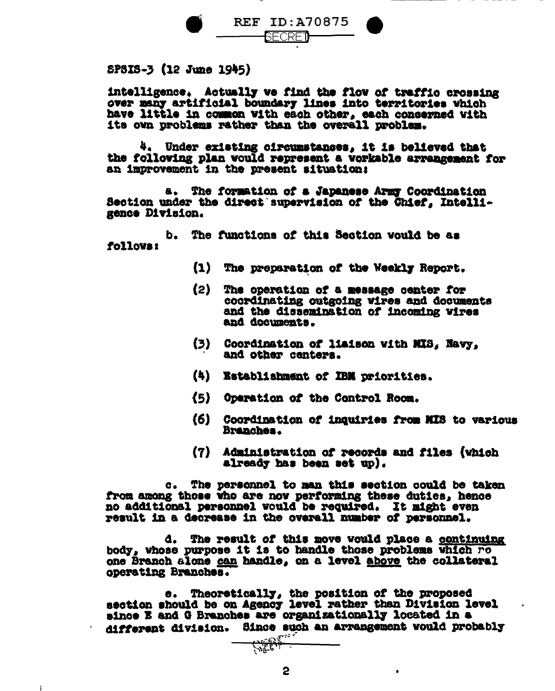

SP3IS-3 (12 June 1945)

intelligence. Actually we find the flow of traffic crossing over many artificial boundary lines into territories which have little in common with each other, each concerned with its own problems rather than the overall problem.

4. Under existing circumstances, it is believed that the following plan would represent a workable arrangement for an improvement in the present situation:

The formation of a Japanese Army Coordination Section under the direct supervision of the Chief, Intelligence Division.

b. The functions of this Section would be as follows:

- (1) The preparation of the Weekly Report.
- $(2)$ The operation of a message center for coordinating outgoing wires and documents and the dissemination of incoming wires and documents.
- $(3)$ Coordination of liaison with MIS, Navy. and other centers.
- (4) Establishment of IBM priorities.
- (5) Operation of the Control Room.
- (6) Coordination of inquiries from MIS to various Branches.

 $\bullet$ 

(7) Administration of records and files (which already has been set up).

c. The personnel to man this section could be taken from among those who are now performing these duties, hence no additional personnel would be required. It might even result in a decrease in the overall number of personnel.

d. The result of this move would place a continuing body, whose purpose it is to handle those problems which ro one Branch alone can handle, on a level above the collateral operating Branches.

Theoretically, the position of the proposed e. I section should be on Agency level rather than Division level since E and G Branches are organizationally located in a different division. Since such an arrangement would probably